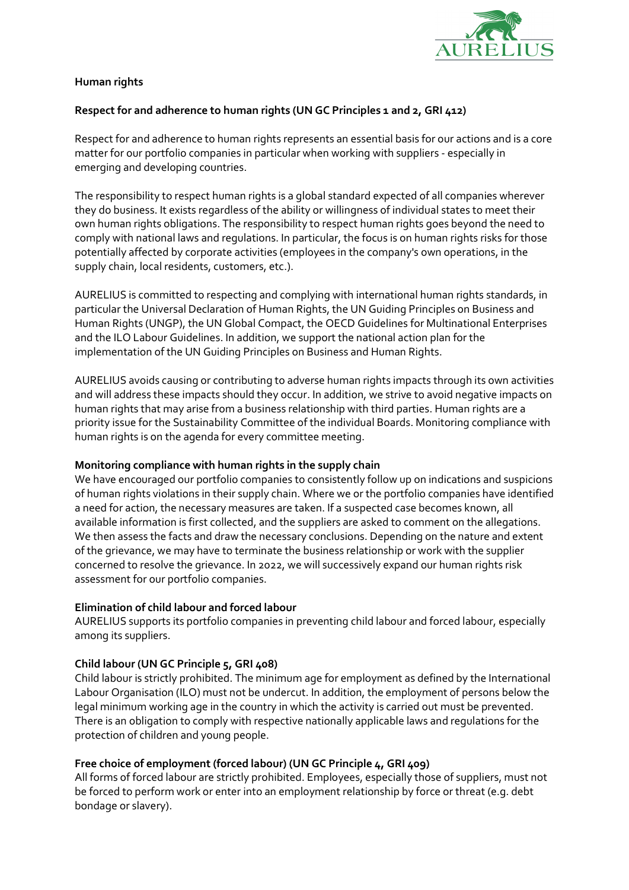

## Human rights

# Respect for and adherence to human rights (UN GC Principles 1 and 2, GRI 412)

Respect for and adherence to human rights represents an essential basis for our actions and is a core matter for our portfolio companies in particular when working with suppliers - especially in emerging and developing countries.

The responsibility to respect human rights is a global standard expected of all companies wherever they do business. It exists regardless of the ability or willingness of individual states to meet their own human rights obligations. The responsibility to respect human rights goes beyond the need to comply with national laws and regulations. In particular, the focus is on human rights risks for those potentially affected by corporate activities (employees in the company's own operations, in the supply chain, local residents, customers, etc.).

AURELIUS is committed to respecting and complying with international human rights standards, in particular the Universal Declaration of Human Rights, the UN Guiding Principles on Business and Human Rights (UNGP), the UN Global Compact, the OECD Guidelines for Multinational Enterprises and the ILO Labour Guidelines. In addition, we support the national action plan for the implementation of the UN Guiding Principles on Business and Human Rights.

AURELIUS avoids causing or contributing to adverse human rights impacts through its own activities and will address these impacts should they occur. In addition, we strive to avoid negative impacts on human rights that may arise from a business relationship with third parties. Human rights are a priority issue for the Sustainability Committee of the individual Boards. Monitoring compliance with human rights is on the agenda for every committee meeting.

### Monitoring compliance with human rights in the supply chain

We have encouraged our portfolio companies to consistently follow up on indications and suspicions of human rights violations in their supply chain. Where we or the portfolio companies have identified a need for action, the necessary measures are taken. If a suspected case becomes known, all available information is first collected, and the suppliers are asked to comment on the allegations. We then assess the facts and draw the necessary conclusions. Depending on the nature and extent of the grievance, we may have to terminate the business relationship or work with the supplier concerned to resolve the grievance. In 2022, we will successively expand our human rights risk assessment for our portfolio companies.

### Elimination of child labour and forced labour

AURELIUS supports its portfolio companies in preventing child labour and forced labour, especially among its suppliers.

### Child labour (UN GC Principle 5, GRI 408)

Child labour is strictly prohibited. The minimum age for employment as defined by the International Labour Organisation (ILO) must not be undercut. In addition, the employment of persons below the legal minimum working age in the country in which the activity is carried out must be prevented. There is an obligation to comply with respective nationally applicable laws and regulations for the protection of children and young people.

### Free choice of employment (forced labour) (UN GC Principle 4, GRI 409)

All forms of forced labour are strictly prohibited. Employees, especially those of suppliers, must not be forced to perform work or enter into an employment relationship by force or threat (e.g. debt bondage or slavery).